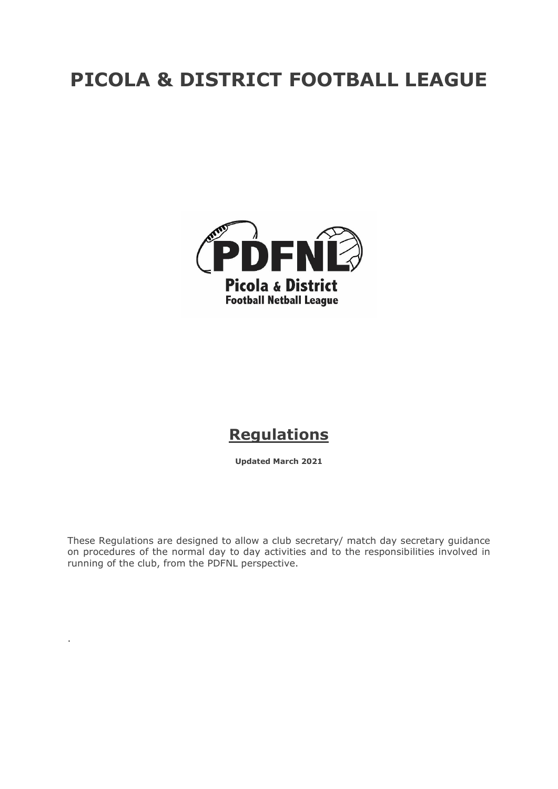# **PICOLA & DISTRICT FOOTBALL LEAGUE**



# **Regulations**

**Updated March 2021**

These Regulations are designed to allow a club secretary/ match day secretary guidance on procedures of the normal day to day activities and to the responsibilities involved in running of the club, from the PDFNL perspective.

.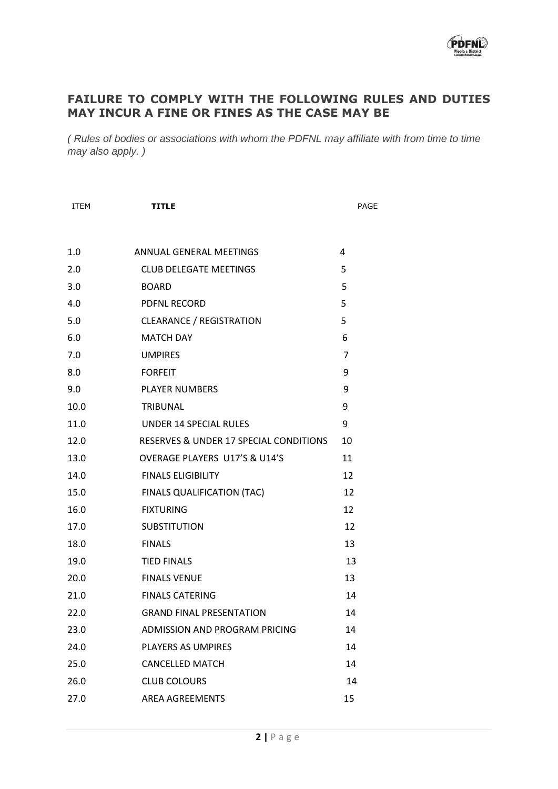

# **FAILURE TO COMPLY WITH THE FOLLOWING RULES AND DUTIES MAY INCUR A FINE OR FINES AS THE CASE MAY BE**

*( Rules of bodies or associations with whom the PDFNL may affiliate with from time to time may also apply. )* 

| <b>ITEM</b> | <b>TITLE</b>                           | PAGE |  |
|-------------|----------------------------------------|------|--|
|             |                                        |      |  |
| 1.0         | ANNUAL GENERAL MEETINGS                | 4    |  |
| 2.0         | <b>CLUB DELEGATE MEETINGS</b>          | 5    |  |
| 3.0         | <b>BOARD</b>                           | 5    |  |
| 4.0         | <b>PDFNL RECORD</b>                    | 5    |  |
| 5.0         | <b>CLEARANCE / REGISTRATION</b>        | 5    |  |
| 6.0         | <b>MATCH DAY</b>                       | 6    |  |
| 7.0         | <b>UMPIRES</b>                         | 7    |  |
| 8.0         | <b>FORFEIT</b>                         | 9    |  |
| 9.0         | <b>PLAYER NUMBERS</b>                  | 9    |  |
| 10.0        | TRIBUNAL                               | 9    |  |
| 11.0        | UNDER 14 SPECIAL RULES                 | 9    |  |
| 12.0        | RESERVES & UNDER 17 SPECIAL CONDITIONS | 10   |  |
| 13.0        | OVERAGE PLAYERS U17'S & U14'S          | 11   |  |
| 14.0        | <b>FINALS ELIGIBILITY</b>              | 12   |  |
| 15.0        | FINALS QUALIFICATION (TAC)             | 12   |  |
| 16.0        | <b>FIXTURING</b>                       | 12   |  |
| 17.0        | <b>SUBSTITUTION</b>                    | 12   |  |
| 18.0        | <b>FINALS</b>                          | 13   |  |
| 19.0        | <b>TIED FINALS</b>                     | 13   |  |
| 20.0        | <b>FINALS VENUE</b>                    | 13   |  |
| 21.0        | <b>FINALS CATERING</b>                 | 14   |  |
| 22.0        | <b>GRAND FINAL PRESENTATION</b>        | 14   |  |
| 23.0        | ADMISSION AND PROGRAM PRICING          | 14   |  |
| 24.0        | PLAYERS AS UMPIRES                     | 14   |  |
| 25.0        | <b>CANCELLED MATCH</b>                 | 14   |  |
| 26.0        | <b>CLUB COLOURS</b>                    | 14   |  |
| 27.0        | AREA AGREEMENTS                        | 15   |  |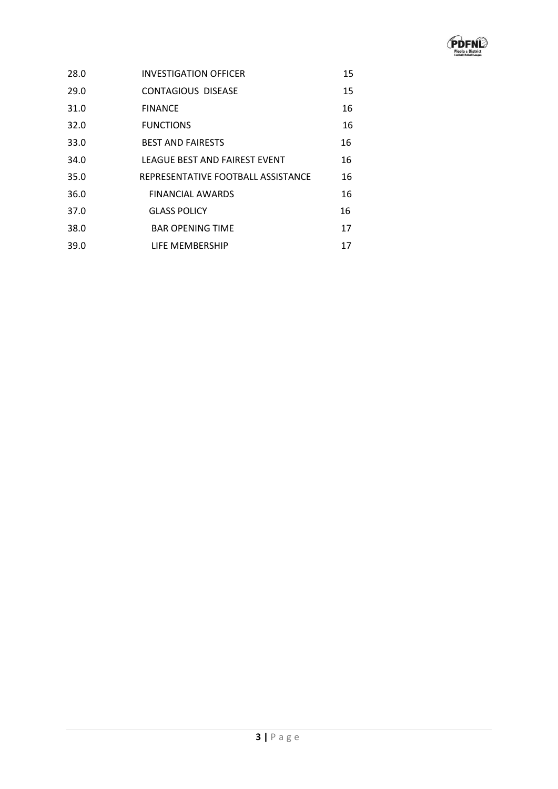

| 28.0 | <b>INVESTIGATION OFFICER</b>       | 15 |
|------|------------------------------------|----|
| 29.0 | <b>CONTAGIOUS DISEASE</b>          | 15 |
| 31.0 | <b>FINANCE</b>                     | 16 |
| 32.0 | <b>FUNCTIONS</b>                   | 16 |
| 33.0 | <b>BEST AND FAIRESTS</b>           | 16 |
| 34.0 | LEAGUE BEST AND FAIREST EVENT      | 16 |
| 35.0 | REPRESENTATIVE FOOTBALL ASSISTANCE | 16 |
| 36.0 | <b>FINANCIAL AWARDS</b>            | 16 |
| 37.0 | <b>GLASS POLICY</b>                | 16 |
| 38.0 | <b>BAR OPENING TIME</b>            | 17 |
| 39.0 | LIFE MEMBERSHIP                    | 17 |
|      |                                    |    |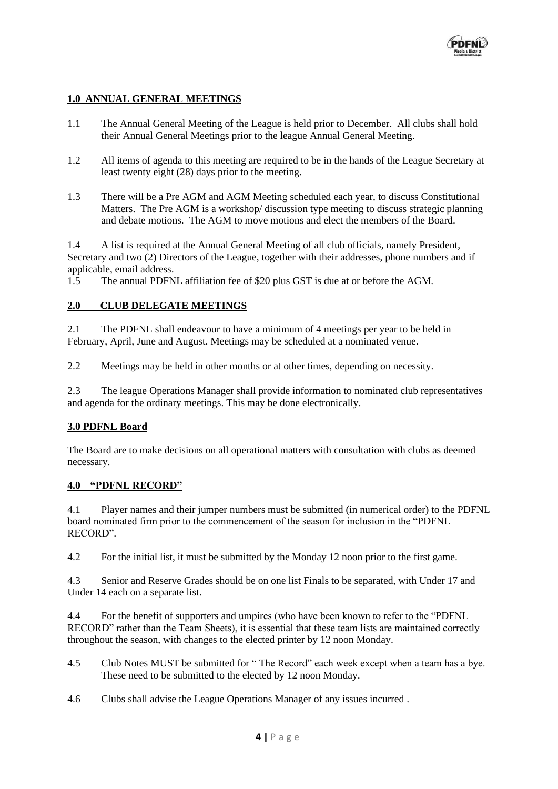

# **1.0 ANNUAL GENERAL MEETINGS**

- 1.1 The Annual General Meeting of the League is held prior to December. All clubs shall hold their Annual General Meetings prior to the league Annual General Meeting.
- 1.2 All items of agenda to this meeting are required to be in the hands of the League Secretary at least twenty eight (28) days prior to the meeting.
- 1.3 There will be a Pre AGM and AGM Meeting scheduled each year, to discuss Constitutional Matters. The Pre AGM is a workshop/ discussion type meeting to discuss strategic planning and debate motions. The AGM to move motions and elect the members of the Board.

1.4 A list is required at the Annual General Meeting of all club officials, namely President, Secretary and two (2) Directors of the League, together with their addresses, phone numbers and if applicable, email address.

1.5 The annual PDFNL affiliation fee of \$20 plus GST is due at or before the AGM.

# **2.0 CLUB DELEGATE MEETINGS**

2.1 The PDFNL shall endeavour to have a minimum of 4 meetings per year to be held in February, April, June and August. Meetings may be scheduled at a nominated venue.

2.2 Meetings may be held in other months or at other times, depending on necessity.

2.3 The league Operations Manager shall provide information to nominated club representatives and agenda for the ordinary meetings. This may be done electronically.

# **3.0 PDFNL Board**

The Board are to make decisions on all operational matters with consultation with clubs as deemed necessary.

#### **4.0 "PDFNL RECORD"**

4.1 Player names and their jumper numbers must be submitted (in numerical order) to the PDFNL board nominated firm prior to the commencement of the season for inclusion in the "PDFNL RECORD".

4.2 For the initial list, it must be submitted by the Monday 12 noon prior to the first game.

4.3 Senior and Reserve Grades should be on one list Finals to be separated, with Under 17 and Under 14 each on a separate list.

4.4 For the benefit of supporters and umpires (who have been known to refer to the "PDFNL RECORD" rather than the Team Sheets), it is essential that these team lists are maintained correctly throughout the season, with changes to the elected printer by 12 noon Monday.

- 4.5 Club Notes MUST be submitted for " The Record" each week except when a team has a bye. These need to be submitted to the elected by 12 noon Monday.
- 4.6 Clubs shall advise the League Operations Manager of any issues incurred .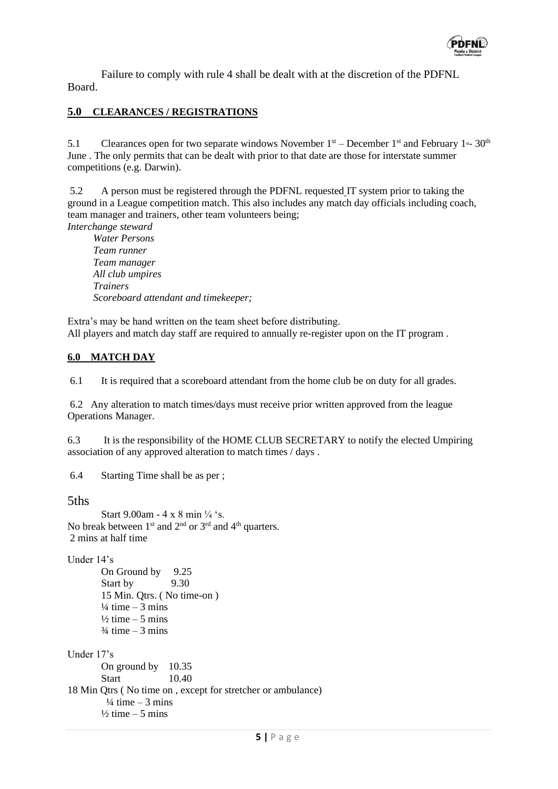

Failure to comply with rule 4 shall be dealt with at the discretion of the PDFNL Board.

# **5.0 CLEARANCES / REGISTRATIONS**

5.1 Clearances open for two separate windows November  $1<sup>st</sup>$  – December  $1<sup>st</sup>$  and February  $1<sup>st</sup>$ – 30<sup>th</sup> June . The only permits that can be dealt with prior to that date are those for interstate summer competitions (e.g. Darwin).

5.2 A person must be registered through the PDFNL requested IT system prior to taking the ground in a League competition match. This also includes any match day officials including coach, team manager and trainers, other team volunteers being;

*Interchange steward Water Persons Team runner Team manager All club umpires Trainers Scoreboard attendant and timekeeper;*

Extra's may be hand written on the team sheet before distributing. All players and match day staff are required to annually re-register upon on the IT program.

# **6.0 MATCH DAY**

6.1 It is required that a scoreboard attendant from the home club be on duty for all grades.

6.2 Any alteration to match times/days must receive prior written approved from the league Operations Manager.

6.3 It is the responsibility of the HOME CLUB SECRETARY to notify the elected Umpiring association of any approved alteration to match times / days .

6.4 Starting Time shall be as per ;

5ths

```
Start 9.00am - 4 x 8 min \frac{1}{4} 's.
No break between 1<sup>st</sup> and 2<sup>nd</sup> or 3<sup>rd</sup> and 4<sup>th</sup> quarters.
2 mins at half time
```
Under 14's

On Ground by 9.25<br>Start by 9.30 Start by 15 Min. Qtrs. ( No time-on )  $\frac{1}{4}$  time  $-3$  mins  $\frac{1}{2}$  time – 5 mins  $\frac{3}{4}$  time – 3 mins

Under 17's On ground by 10.35 Start 10.40 18 Min Qtrs ( No time on , except for stretcher or ambulance)  $\frac{1}{4}$  time  $-3$  mins  $\frac{1}{2}$  time – 5 mins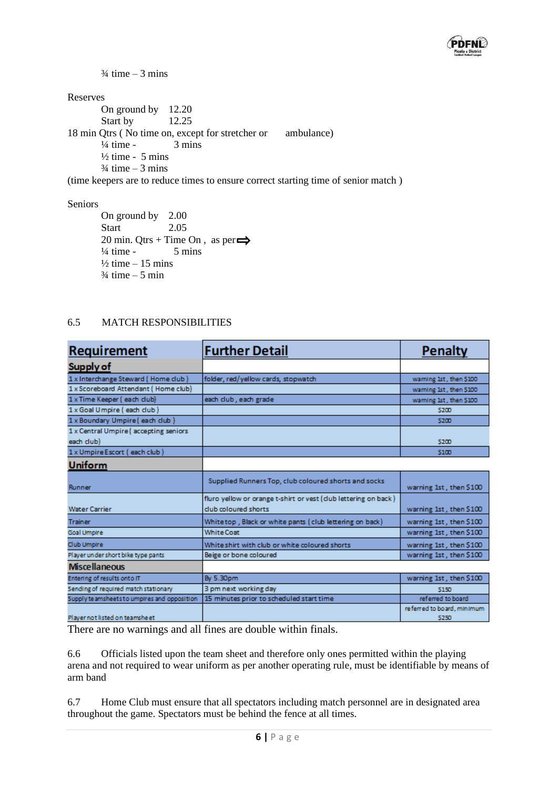

 $\frac{3}{4}$  time – 3 mins

Reserves

On ground by 12.20 Start by 12.25 18 min Qtrs (No time on, except for stretcher or ambulance)  $\frac{1}{4}$  time - 3 mins  $\frac{1}{2}$  time - 5 mins  $\frac{3}{4}$  time – 3 mins

(time keepers are to reduce times to ensure correct starting time of senior match )

#### Seniors

On ground by 2.00 Start 2.05 20 min. Qtrs + Time On, as per $\implies$  $\frac{1}{4}$  time - 5 mins  $\frac{1}{2}$  time  $-15$  mins  $\frac{3}{4}$  time – 5 min

# 6.5 MATCH RESPONSIBILITIES

| <b>Requirement</b>                          | <b>Further Detail</b>                                                                   | <b>Penalty</b>                      |
|---------------------------------------------|-----------------------------------------------------------------------------------------|-------------------------------------|
| Supply of                                   |                                                                                         |                                     |
| 1 x Interchange Steward (Home club)         | folder, red/yellow cards, stopwatch                                                     | warning 1st, then \$100             |
| 1 x Scoreboard Attendant (Home club)        |                                                                                         | warning 1st, then \$100             |
| 1 x Time Keeper (each club)                 | each club, each grade                                                                   | warning 1st, then \$100             |
| 1 x Goal Umpire (each club)                 |                                                                                         | \$200                               |
| 1 x Boundary Umpire (each club)             |                                                                                         | \$200                               |
| 1 x Central Umpire (accepting seniors       |                                                                                         |                                     |
| each club)                                  |                                                                                         | \$200                               |
| 1 x Umpire Escort (each club)               |                                                                                         | \$100                               |
| <b>Uniform</b>                              |                                                                                         |                                     |
| Runner                                      | Supplied Runners Top, club coloured shorts and socks                                    | warning 1st, then \$100             |
| <b>Water Carrier</b>                        | fluro yellow or orange t-shirt or vest (club lettering on back)<br>club coloured shorts | warning 1st, then \$100             |
| <b>Trainer</b>                              | Whitetop, Black or white pants (club lettering on back)                                 | warning 1st, then \$100             |
| Goal Umpire                                 | <b>White Coat</b>                                                                       | warning 1st, then \$100             |
| Club Umpire                                 | White shirt with club or white coloured shorts                                          | warning 1st, then \$100             |
| Player under short bike type pants          | Beige or bone coloured                                                                  | warning 1st, then \$100             |
| <b>Miscellaneous</b>                        |                                                                                         |                                     |
| Entering of results onto IT                 | By 5.30pm                                                                               | warning 1st, then \$100             |
| Sending of required match stationary        | 3 pm next working day                                                                   | \$150                               |
| Supply teamsheets to umpires and opposition | 15 minutes prior to scheduled start time                                                | referred to board                   |
| Player not listed on teamsheet              |                                                                                         | referred to board, minimum<br>\$250 |

There are no warnings and all fines are double within finals.

6.6 Officials listed upon the team sheet and therefore only ones permitted within the playing arena and not required to wear uniform as per another operating rule, must be identifiable by means of arm band

6.7 Home Club must ensure that all spectators including match personnel are in designated area throughout the game. Spectators must be behind the fence at all times.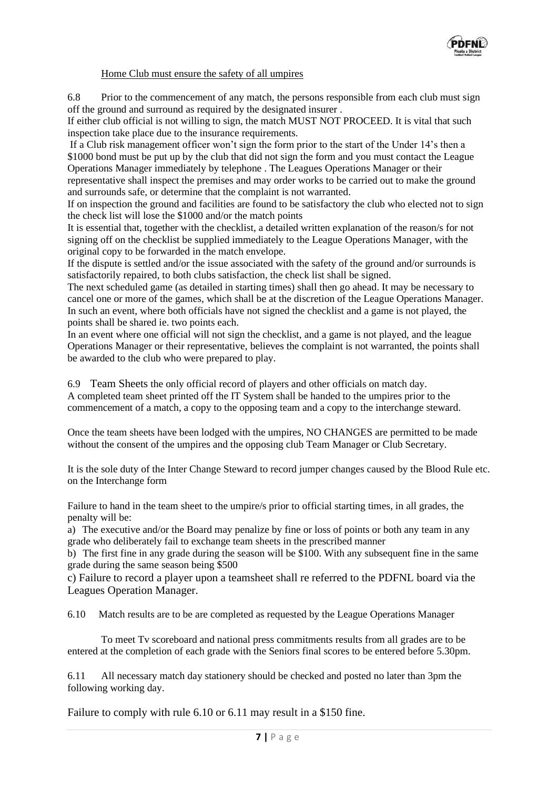

# Home Club must ensure the safety of all umpires

6.8 Prior to the commencement of any match, the persons responsible from each club must sign off the ground and surround as required by the designated insurer .

If either club official is not willing to sign, the match MUST NOT PROCEED. It is vital that such inspection take place due to the insurance requirements.

If a Club risk management officer won't sign the form prior to the start of the Under 14's then a \$1000 bond must be put up by the club that did not sign the form and you must contact the League Operations Manager immediately by telephone . The Leagues Operations Manager or their representative shall inspect the premises and may order works to be carried out to make the ground and surrounds safe, or determine that the complaint is not warranted.

If on inspection the ground and facilities are found to be satisfactory the club who elected not to sign the check list will lose the \$1000 and/or the match points

It is essential that, together with the checklist, a detailed written explanation of the reason/s for not signing off on the checklist be supplied immediately to the League Operations Manager, with the original copy to be forwarded in the match envelope.

If the dispute is settled and/or the issue associated with the safety of the ground and/or surrounds is satisfactorily repaired, to both clubs satisfaction, the check list shall be signed.

The next scheduled game (as detailed in starting times) shall then go ahead. It may be necessary to cancel one or more of the games, which shall be at the discretion of the League Operations Manager. In such an event, where both officials have not signed the checklist and a game is not played, the points shall be shared ie. two points each.

In an event where one official will not sign the checklist, and a game is not played, and the league Operations Manager or their representative, believes the complaint is not warranted, the points shall be awarded to the club who were prepared to play.

6.9 Team Sheets the only official record of players and other officials on match day. A completed team sheet printed off the IT System shall be handed to the umpires prior to the commencement of a match, a copy to the opposing team and a copy to the interchange steward.

Once the team sheets have been lodged with the umpires, NO CHANGES are permitted to be made without the consent of the umpires and the opposing club Team Manager or Club Secretary.

It is the sole duty of the Inter Change Steward to record jumper changes caused by the Blood Rule etc. on the Interchange form

Failure to hand in the team sheet to the umpire/s prior to official starting times, in all grades, the penalty will be:

a) The executive and/or the Board may penalize by fine or loss of points or both any team in any grade who deliberately fail to exchange team sheets in the prescribed manner

b) The first fine in any grade during the season will be \$100. With any subsequent fine in the same grade during the same season being \$500

c) Failure to record a player upon a teamsheet shall re referred to the PDFNL board via the Leagues Operation Manager.

6.10 Match results are to be are completed as requested by the League Operations Manager

To meet Tv scoreboard and national press commitments results from all grades are to be entered at the completion of each grade with the Seniors final scores to be entered before 5.30pm.

6.11 All necessary match day stationery should be checked and posted no later than 3pm the following working day.

Failure to comply with rule 6.10 or 6.11 may result in a \$150 fine.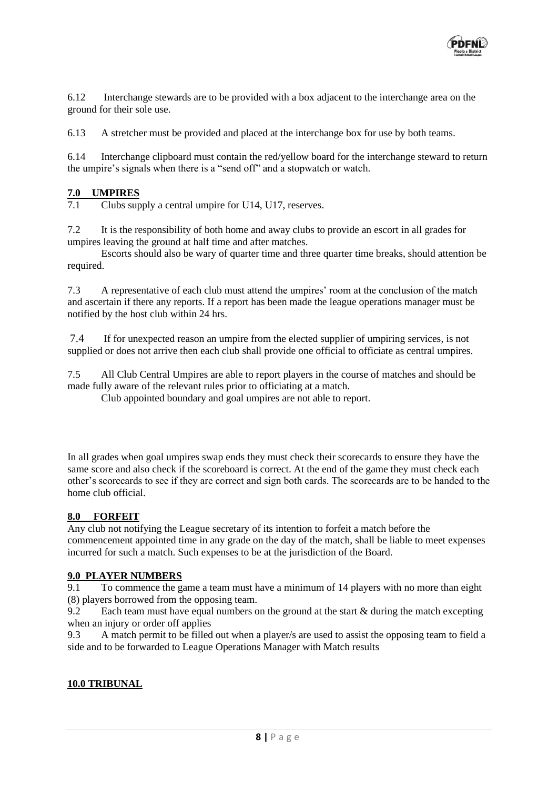

6.12 Interchange stewards are to be provided with a box adjacent to the interchange area on the ground for their sole use.

6.13 A stretcher must be provided and placed at the interchange box for use by both teams.

6.14 Interchange clipboard must contain the red/yellow board for the interchange steward to return the umpire's signals when there is a "send off" and a stopwatch or watch.

# $\frac{7.0}{7.1}$  **Clubs sup**

Clubs supply a central umpire for U14, U17, reserves.

7.2 It is the responsibility of both home and away clubs to provide an escort in all grades for umpires leaving the ground at half time and after matches.

Escorts should also be wary of quarter time and three quarter time breaks, should attention be required.

7.3 A representative of each club must attend the umpires' room at the conclusion of the match and ascertain if there any reports. If a report has been made the league operations manager must be notified by the host club within 24 hrs.

7.4 If for unexpected reason an umpire from the elected supplier of umpiring services, is not supplied or does not arrive then each club shall provide one official to officiate as central umpires.

7.5 All Club Central Umpires are able to report players in the course of matches and should be made fully aware of the relevant rules prior to officiating at a match.

Club appointed boundary and goal umpires are not able to report.

In all grades when goal umpires swap ends they must check their scorecards to ensure they have the same score and also check if the scoreboard is correct. At the end of the game they must check each other's scorecards to see if they are correct and sign both cards. The scorecards are to be handed to the home club official.

# **8.0 FORFEIT**

Any club not notifying the League secretary of its intention to forfeit a match before the commencement appointed time in any grade on the day of the match, shall be liable to meet expenses incurred for such a match. Such expenses to be at the jurisdiction of the Board.

# 9.0 PLAYER NUMBERS<br>9.1 To commence the ga

9.1 To commence the game a team must have a minimum of 14 players with no more than eight (8) players borrowed from the opposing team.

9.2 Each team must have equal numbers on the ground at the start & during the match excepting when an injury or order off applies

9.3 A match permit to be filled out when a player/s are used to assist the opposing team to field a side and to be forwarded to League Operations Manager with Match results

# **10.0 TRIBUNAL**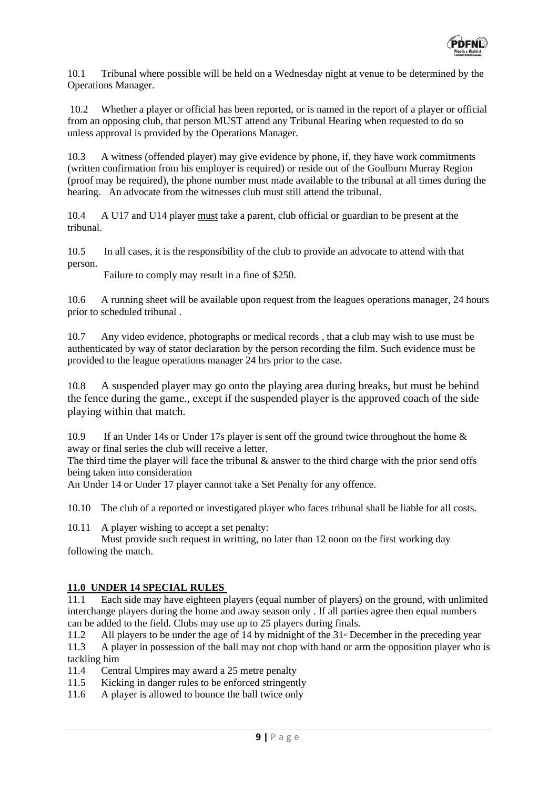

10.1 Tribunal where possible will be held on a Wednesday night at venue to be determined by the Operations Manager.

10.2 Whether a player or official has been reported, or is named in the report of a player or official from an opposing club, that person MUST attend any Tribunal Hearing when requested to do so unless approval is provided by the Operations Manager.

10.3 A witness (offended player) may give evidence by phone, if, they have work commitments (written confirmation from his employer is required) or reside out of the Goulburn Murray Region (proof may be required), the phone number must made available to the tribunal at all times during the hearing. An advocate from the witnesses club must still attend the tribunal.

10.4 A U17 and U14 player must take a parent, club official or guardian to be present at the tribunal.

10.5 In all cases, it is the responsibility of the club to provide an advocate to attend with that person.

Failure to comply may result in a fine of \$250.

10.6 A running sheet will be available upon request from the leagues operations manager, 24 hours prior to scheduled tribunal .

10.7 Any video evidence, photographs or medical records , that a club may wish to use must be authenticated by way of stator declaration by the person recording the film. Such evidence must be provided to the league operations manager 24 hrs prior to the case.

10.8 A suspended player may go onto the playing area during breaks, but must be behind the fence during the game., except if the suspended player is the approved coach of the side playing within that match.

10.9 If an Under 14s or Under 17s player is sent off the ground twice throughout the home & away or final series the club will receive a letter.

The third time the player will face the tribunal  $\&$  answer to the third charge with the prior send offs being taken into consideration

An Under 14 or Under 17 player cannot take a Set Penalty for any offence.

10.10 The club of a reported or investigated player who faces tribunal shall be liable for all costs.

10.11 A player wishing to accept a set penalty:

Must provide such request in writting, no later than 12 noon on the first working day following the match.

# **11.0 UNDER 14 SPECIAL RULES**

11.1 Each side may have eighteen players (equal number of players) on the ground, with unlimited interchange players during the home and away season only . If all parties agree then equal numbers can be added to the field. Clubs may use up to 25 players during finals.

11.2 All players to be under the age of 14 by midnight of the  $31$ <sup>st</sup> December in the preceding year

11.3 A player in possession of the ball may not chop with hand or arm the opposition player who is tackling him

11.4 Central Umpires may award a 25 metre penalty

- 11.5 Kicking in danger rules to be enforced stringently
- 11.6 A player is allowed to bounce the ball twice only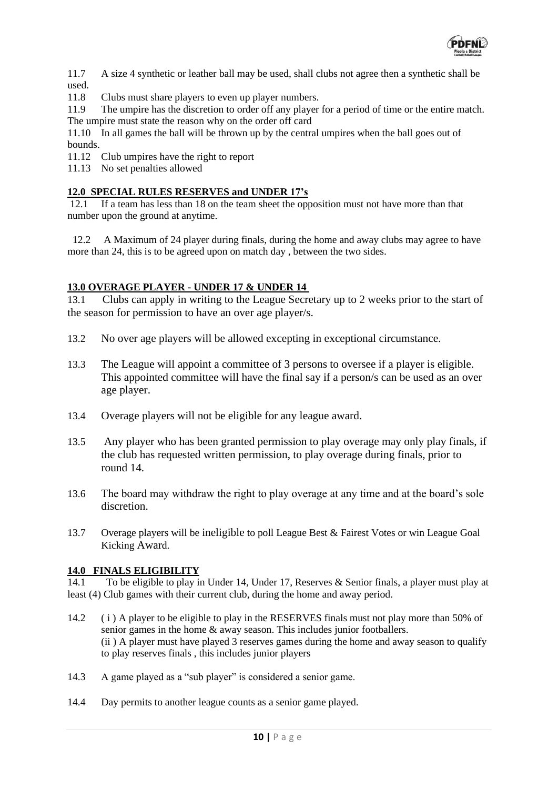

11.7 A size 4 synthetic or leather ball may be used, shall clubs not agree then a synthetic shall be used.

11.8 Clubs must share players to even up player numbers.

11.9 The umpire has the discretion to order off any player for a period of time or the entire match. The umpire must state the reason why on the order off card

11.10 In all games the ball will be thrown up by the central umpires when the ball goes out of bounds.

11.12 Club umpires have the right to report

11.13 No set penalties allowed

# **12.0 SPECIAL RULES RESERVES and UNDER 17's**

12.1 If a team has less than 18 on the team sheet the opposition must not have more than that number upon the ground at anytime.

 12.2 A Maximum of 24 player during finals, during the home and away clubs may agree to have more than 24, this is to be agreed upon on match day , between the two sides.

# **13.0 OVERAGE PLAYER - UNDER 17 & UNDER 14**

13.1 Clubs can apply in writing to the League Secretary up to 2 weeks prior to the start of the season for permission to have an over age player/s.

- 13.2 No over age players will be allowed excepting in exceptional circumstance.
- 13.3 The League will appoint a committee of 3 persons to oversee if a player is eligible. This appointed committee will have the final say if a person/s can be used as an over age player.
- 13.4 Overage players will not be eligible for any league award.
- 13.5 Any player who has been granted permission to play overage may only play finals, if the club has requested written permission, to play overage during finals, prior to round 14.
- 13.6 The board may withdraw the right to play overage at any time and at the board's sole discretion.
- 13.7 Overage players will be ineligible to poll League Best & Fairest Votes or win League Goal Kicking Award.

# **14.0 FINALS ELIGIBILITY**

14.1 To be eligible to play in Under 14, Under 17, Reserves & Senior finals, a player must play at least (4) Club games with their current club, during the home and away period.

- 14.2 ( i ) A player to be eligible to play in the RESERVES finals must not play more than 50% of senior games in the home & away season. This includes junior footballers. (ii ) A player must have played 3 reserves games during the home and away season to qualify to play reserves finals , this includes junior players
- 14.3 A game played as a "sub player" is considered a senior game.
- 14.4 Day permits to another league counts as a senior game played.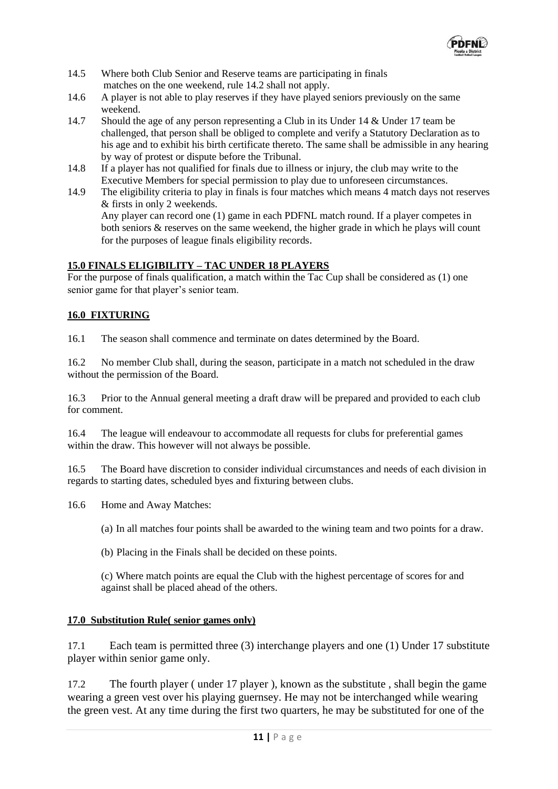

- 14.5 Where both Club Senior and Reserve teams are participating in finals matches on the one weekend, rule 14.2 shall not apply.
- 14.6 A player is not able to play reserves if they have played seniors previously on the same weekend.
- 14.7 Should the age of any person representing a Club in its Under 14 & Under 17 team be challenged, that person shall be obliged to complete and verify a Statutory Declaration as to his age and to exhibit his birth certificate thereto. The same shall be admissible in any hearing by way of protest or dispute before the Tribunal.
- 14.8 If a player has not qualified for finals due to illness or injury, the club may write to the Executive Members for special permission to play due to unforeseen circumstances.
- 14.9 The eligibility criteria to play in finals is four matches which means 4 match days not reserves & firsts in only 2 weekends. Any player can record one (1) game in each PDFNL match round. If a player competes in both seniors & reserves on the same weekend, the higher grade in which he plays will count for the purposes of league finals eligibility records.

# **15.0 FINALS ELIGIBILITY – TAC UNDER 18 PLAYERS**

For the purpose of finals qualification, a match within the Tac Cup shall be considered as (1) one senior game for that player's senior team.

# **16.0 FIXTURING**

16.1 The season shall commence and terminate on dates determined by the Board.

16.2 No member Club shall, during the season, participate in a match not scheduled in the draw without the permission of the Board.

16.3 Prior to the Annual general meeting a draft draw will be prepared and provided to each club for comment.

16.4 The league will endeavour to accommodate all requests for clubs for preferential games within the draw. This however will not always be possible.

16.5 The Board have discretion to consider individual circumstances and needs of each division in regards to starting dates, scheduled byes and fixturing between clubs.

16.6 Home and Away Matches:

(a) In all matches four points shall be awarded to the wining team and two points for a draw.

(b) Placing in the Finals shall be decided on these points.

(c) Where match points are equal the Club with the highest percentage of scores for and against shall be placed ahead of the others.

# **17.0 Substitution Rule( senior games only)**

17.1 Each team is permitted three (3) interchange players and one (1) Under 17 substitute player within senior game only.

17.2 The fourth player ( under 17 player ), known as the substitute , shall begin the game wearing a green vest over his playing guernsey. He may not be interchanged while wearing the green vest. At any time during the first two quarters, he may be substituted for one of the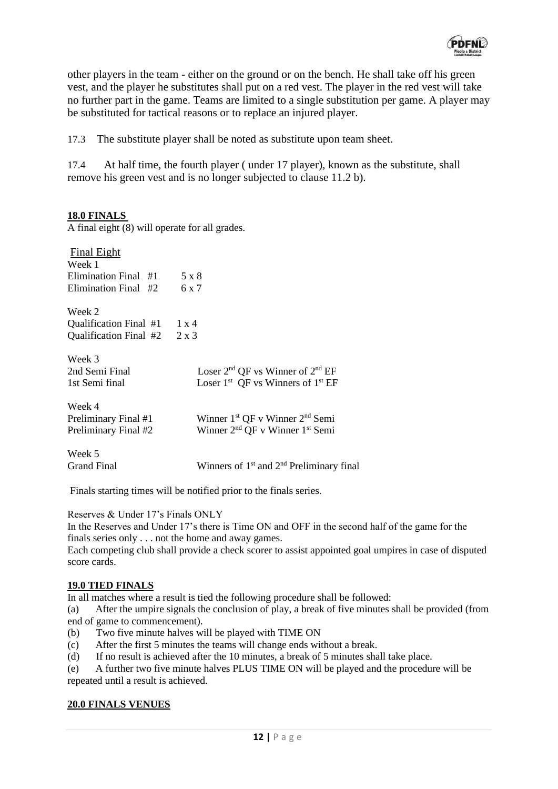

other players in the team - either on the ground or on the bench. He shall take off his green vest, and the player he substitutes shall put on a red vest. The player in the red vest will take no further part in the game. Teams are limited to a single substitution per game. A player may be substituted for tactical reasons or to replace an injured player.

17.3 The substitute player shall be noted as substitute upon team sheet.

17.4 At half time, the fourth player ( under 17 player), known as the substitute, shall remove his green vest and is no longer subjected to clause 11.2 b).

# **18.0 FINALS**

A final eight (8) will operate for all grades.

| <b>Final Eight</b>             |                                                         |
|--------------------------------|---------------------------------------------------------|
| Week 1                         |                                                         |
| Elimination Final #1           | 5 x 8                                                   |
| Elimination Final #2           | 6 x 7                                                   |
| Week 2                         |                                                         |
| Qualification Final $#1$ 1 x 4 |                                                         |
| Qualification Final #2         | $2 \times 3$                                            |
| Week 3                         |                                                         |
| 2nd Semi Final                 | Loser $2nd$ QF vs Winner of $2nd$ EF                    |
| 1st Semi final                 | Loser $1st$ QF vs Winners of $1st$ EF                   |
| Week 4                         |                                                         |
| Preliminary Final #1           | Winner 1 <sup>st</sup> QF v Winner 2 <sup>nd</sup> Semi |
| Preliminary Final #2           | Winner 2 <sup>nd</sup> QF v Winner 1 <sup>st</sup> Semi |
| Week 5                         |                                                         |

Grand Final Winners of 1<sup>st</sup> and 2<sup>nd</sup> Preliminary final

Finals starting times will be notified prior to the finals series.

Reserves & Under 17's Finals ONLY

In the Reserves and Under 17's there is Time ON and OFF in the second half of the game for the finals series only . . . not the home and away games.

Each competing club shall provide a check scorer to assist appointed goal umpires in case of disputed score cards.

#### **19.0 TIED FINALS**

In all matches where a result is tied the following procedure shall be followed:

(a) After the umpire signals the conclusion of play, a break of five minutes shall be provided (from end of game to commencement).

- (b) Two five minute halves will be played with TIME ON
- (c) After the first 5 minutes the teams will change ends without a break.
- (d) If no result is achieved after the 10 minutes, a break of 5 minutes shall take place.

(e) A further two five minute halves PLUS TIME ON will be played and the procedure will be repeated until a result is achieved.

#### **20.0 FINALS VENUES**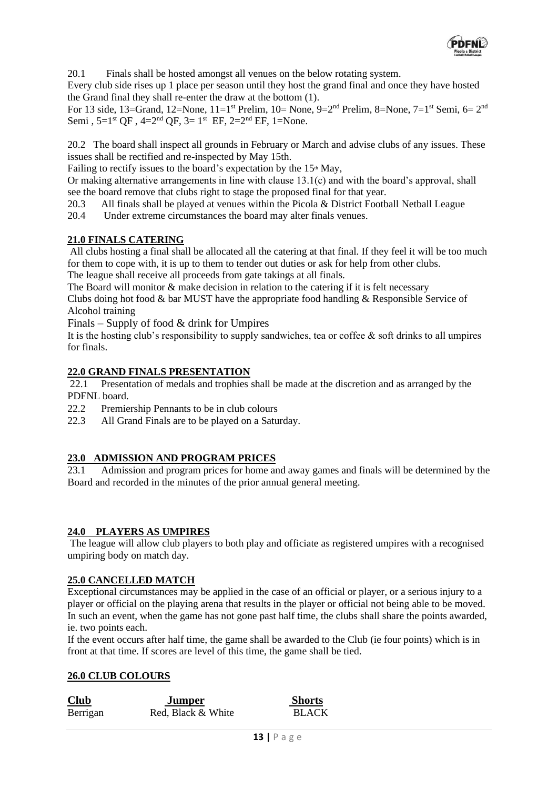

20.1 Finals shall be hosted amongst all venues on the below rotating system.

Every club side rises up 1 place per season until they host the grand final and once they have hosted the Grand final they shall re-enter the draw at the bottom (1).

For 13 side, 13=Grand, 12=None, 11=1<sup>st</sup> Prelim, 10= None, 9= $2<sup>nd</sup>$  Prelim, 8=None, 7=1<sup>st</sup> Semi, 6=  $2<sup>nd</sup>$ Semi,  $5=1^{st}$  QF,  $4=2^{nd}$  QF,  $3=1^{st}$  EF,  $2=2^{nd}$  EF,  $1=N$ one.

20.2 The board shall inspect all grounds in February or March and advise clubs of any issues. These issues shall be rectified and re-inspected by May 15th.

Failing to rectify issues to the board's expectation by the  $15<sup>th</sup>$  May,

Or making alternative arrangements in line with clause 13.1(c) and with the board's approval, shall see the board remove that clubs right to stage the proposed final for that year.

20.3 All finals shall be played at venues within the Picola & District Football Netball League

20.4 Under extreme circumstances the board may alter finals venues.

# **21.0 FINALS CATERING**

All clubs hosting a final shall be allocated all the catering at that final. If they feel it will be too much for them to cope with, it is up to them to tender out duties or ask for help from other clubs. The league shall receive all proceeds from gate takings at all finals.

The Board will monitor & make decision in relation to the catering if it is felt necessary

Clubs doing hot food & bar MUST have the appropriate food handling & Responsible Service of Alcohol training

Finals – Supply of food  $\&$  drink for Umpires

It is the hosting club's responsibility to supply sandwiches, tea or coffee  $\&$  soft drinks to all umpires for finals.

#### **22.0 GRAND FINALS PRESENTATION**

22.1 Presentation of medals and trophies shall be made at the discretion and as arranged by the PDFNL board.

22.2 Premiership Pennants to be in club colours

22.3 All Grand Finals are to be played on a Saturday.

# **23.0 ADMISSION AND PROGRAM PRICES**

23.1 Admission and program prices for home and away games and finals will be determined by the Board and recorded in the minutes of the prior annual general meeting.

# **24.0 PLAYERS AS UMPIRES**

The league will allow club players to both play and officiate as registered umpires with a recognised umpiring body on match day.

#### **25.0 CANCELLED MATCH**

Exceptional circumstances may be applied in the case of an official or player, or a serious injury to a player or official on the playing arena that results in the player or official not being able to be moved. In such an event, when the game has not gone past half time, the clubs shall share the points awarded, ie. two points each.

If the event occurs after half time, the game shall be awarded to the Club (ie four points) which is in front at that time. If scores are level of this time, the game shall be tied.

# **26.0 CLUB COLOURS**

| <b>Club</b> | Jumper             | <b>Shorts</b> |
|-------------|--------------------|---------------|
| Berrigan    | Red, Black & White | <b>BLACK</b>  |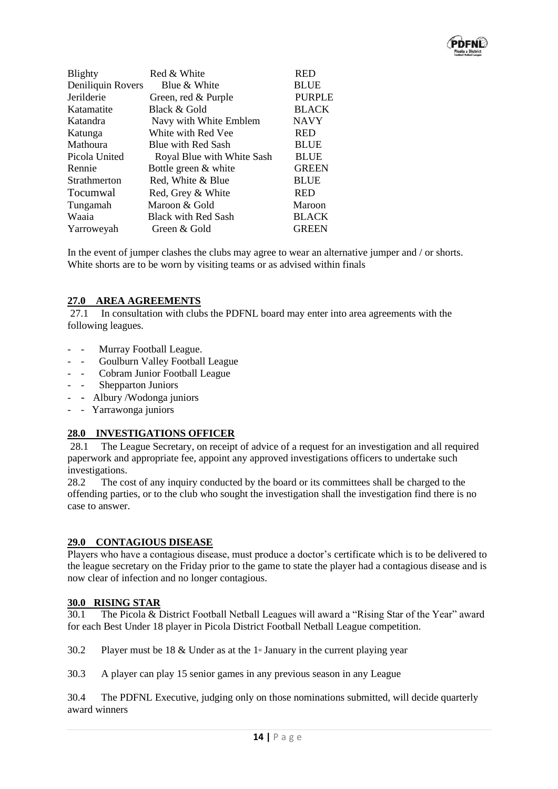

| Blighty           | Red & White                | <b>RED</b>    |
|-------------------|----------------------------|---------------|
| Deniliquin Rovers | Blue & White               | <b>BLUE</b>   |
| Jerilderie        | Green, red & Purple        | <b>PURPLE</b> |
| Katamatite        | Black & Gold               | <b>BLACK</b>  |
| Katandra          | Navy with White Emblem     | <b>NAVY</b>   |
| Katunga           | White with Red Vee         | <b>RED</b>    |
| Mathoura          | Blue with Red Sash         | <b>BLUE</b>   |
| Picola United     | Royal Blue with White Sash | <b>BLUE</b>   |
| Rennie            | Bottle green & white       | <b>GREEN</b>  |
| Strathmerton      | Red, White & Blue          | <b>BLUE</b>   |
| Tocumwal          | Red, Grey & White          | <b>RED</b>    |
| Tungamah          | Maroon & Gold              | Maroon        |
| Waaia             | <b>Black with Red Sash</b> | <b>BLACK</b>  |
| Yarroweyah        | Green & Gold               | <b>GREEN</b>  |
|                   |                            |               |

In the event of jumper clashes the clubs may agree to wear an alternative jumper and / or shorts. White shorts are to be worn by visiting teams or as advised within finals

# **27.0 AREA AGREEMENTS**

27.1 In consultation with clubs the PDFNL board may enter into area agreements with the following leagues.

- - Murray Football League.
- - Goulburn Valley Football League
- - Cobram Junior Football League
- - Shepparton Juniors
- - Albury /Wodonga juniors
- - Yarrawonga juniors

# **28.0 INVESTIGATIONS OFFICER**

28.1 The League Secretary, on receipt of advice of a request for an investigation and all required paperwork and appropriate fee, appoint any approved investigations officers to undertake such investigations.

28.2 The cost of any inquiry conducted by the board or its committees shall be charged to the offending parties, or to the club who sought the investigation shall the investigation find there is no case to answer.

# **29.0 CONTAGIOUS DISEASE**

Players who have a contagious disease, must produce a doctor's certificate which is to be delivered to the league secretary on the Friday prior to the game to state the player had a contagious disease and is now clear of infection and no longer contagious.

#### **30.0 RISING STAR**

30.1 The Picola & District Football Netball Leagues will award a "Rising Star of the Year" award for each Best Under 18 player in Picola District Football Netball League competition.

30.2 Player must be 18  $\&$  Under as at the 1<sup>st</sup> January in the current playing year

30.3 A player can play 15 senior games in any previous season in any League

30.4 The PDFNL Executive, judging only on those nominations submitted, will decide quarterly award winners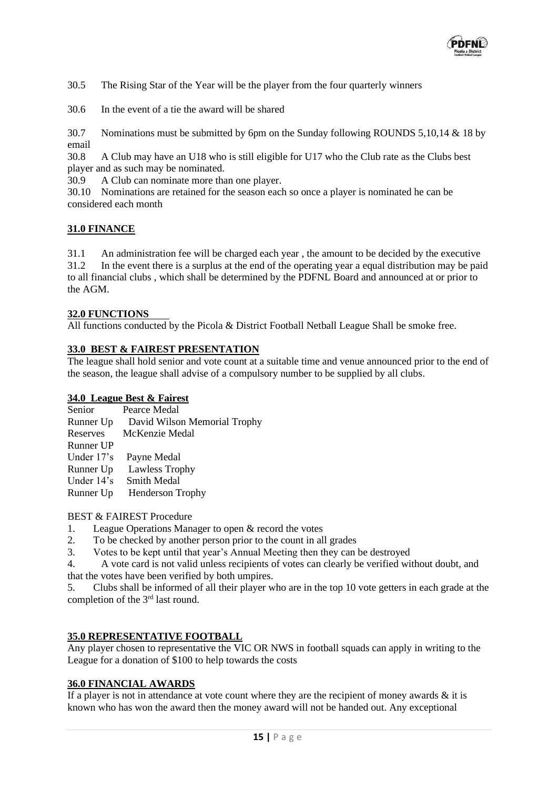

30.5 The Rising Star of the Year will be the player from the four quarterly winners

30.6 In the event of a tie the award will be shared

30.7 Nominations must be submitted by 6pm on the Sunday following ROUNDS 5,10,14 & 18 by email

30.8 A Club may have an U18 who is still eligible for U17 who the Club rate as the Clubs best player and as such may be nominated.

30.9 A Club can nominate more than one player.

30.10 Nominations are retained for the season each so once a player is nominated he can be considered each month

#### **31.0 FINANCE**

31.1 An administration fee will be charged each year , the amount to be decided by the executive 31.2 In the event there is a surplus at the end of the operating year a equal distribution may be paid to all financial clubs , which shall be determined by the PDFNL Board and announced at or prior to the AGM.

#### **32.0 FUNCTIONS**

All functions conducted by the Picola & District Football Netball League Shall be smoke free.

# **33.0 BEST & FAIREST PRESENTATION**

The league shall hold senior and vote count at a suitable time and venue announced prior to the end of the season, the league shall advise of a compulsory number to be supplied by all clubs.

#### **34.0 League Best & Fairest**

| Pearce Medal                 |
|------------------------------|
| David Wilson Memorial Trophy |
| McKenzie Medal               |
|                              |
| Payne Medal                  |
| Lawless Trophy               |
| <b>Smith Medal</b>           |
| <b>Henderson Trophy</b>      |
|                              |

#### BEST & FAIREST Procedure

- 1. League Operations Manager to open & record the votes
- 2. To be checked by another person prior to the count in all grades
- 3. Votes to be kept until that year's Annual Meeting then they can be destroyed

4. A vote card is not valid unless recipients of votes can clearly be verified without doubt, and that the votes have been verified by both umpires.

5. Clubs shall be informed of all their player who are in the top 10 vote getters in each grade at the completion of the 3rd last round.

# **35.0 REPRESENTATIVE FOOTBALL**

Any player chosen to representative the VIC OR NWS in football squads can apply in writing to the League for a donation of \$100 to help towards the costs

# **36.0 FINANCIAL AWARDS**

If a player is not in attendance at vote count where they are the recipient of money awards  $\&$  it is known who has won the award then the money award will not be handed out. Any exceptional